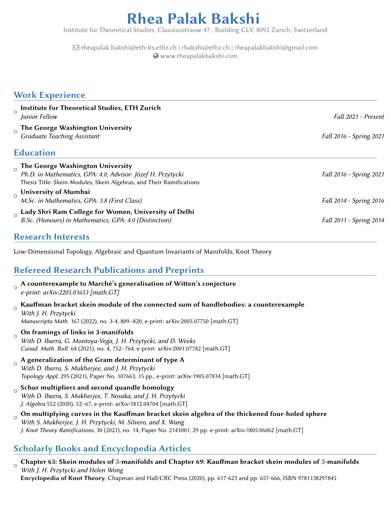# Rhea Palak Bakshi

Institute for Theoretical Studies, Clausiusstrasse 47 , Building CLV, 8092 Zurich, Switzerland

Q [rheapalak.bakshi@eth-its.ethz.ch | rbakshi@ethz.ch | rheapalakbakshi@gmail.com](mailto:rheapalak.bakshi@eth-its.ethz.ch | rbakshi@ethz.ch | rheapalakbakshi@gmail.com) [www.rheapalakbakshi.com](http://www.rheapalakbakshi.com)

#### Work Experience

| $\circ$  | Institute for Theoretical Studies, ETH Zurich<br>Junior Fellow                                                                                                          | Fall 2021 - Present     |
|----------|-------------------------------------------------------------------------------------------------------------------------------------------------------------------------|-------------------------|
|          | The George Washington University<br><b>Graduate Teaching Assistant</b>                                                                                                  | Fall 2016 - Spring 2021 |
|          | <b>Education</b>                                                                                                                                                        |                         |
| $\Omega$ | The George Washington University<br>Ph.D. in Mathematics, GPA: 4.0, Advisor: Józef H. Przytycki<br>Thesis Title: Skein Modules, Skein Algebras, and Their Ramifications | Fall 2016 - Spring 2021 |
|          | O University of Mumbai<br>M.Sc. in Mathematics, GPA: 3.8 (First Class)                                                                                                  | Fall 2014 - Spring 2016 |
| $\Omega$ | Lady Shri Ram College for Women, University of Delhi<br>B.Sc. (Honours) in Mathematics, GPA: 4.0 (Distinction)                                                          | Fall 2011 - Spring 2014 |

#### Research Interests

Low-Dimensional Topology, Algebraic and Quantum Invariants of Manifolds, Knot Theory

### Refereed Research Publications and Preprints

- $_\mathrm{o}$  A counterexample to Marché's generalisation of Witten's conjecture
- e-print: [arXiv:2205.01653](https://arxiv.org/abs/2205.01653) [math.GT]
- $\circ$ Kauffman bracket skein module of the connected sum of handlebodies: a counterexample

With J. H. Przytycki Manuscripta Math. 167 (2022), no. 3-4, 809–820, e-print: [arXiv:2005.07750](https://arxiv.org/abs/2005.07750) [math.GT]

#### $\circ$ On framings of links in 3-manifolds

With D. Ibarra, G. Montoya-Vega, J. H. Przytycki, and D. Weeks Canad. Math. Bull. 64 (2021), no. 4, 752–764, e-print: [arXiv:2001.07782](https://arxiv.org/abs/2001.07782) [math.GT]

#### $\circ$ A generalization of the Gram determinant of type A

With D. Ibarra, S. Mukherjee, and J. H. Przytycki Topology Appl. 295 (2021), Paper No. 107663, 15 pp., e-print: [arXiv:1905.07834](https://arxiv.org/abs/1905.07834) [math.GT]

#### $\circ$ Schur multipliers and second quandle homology

- With D. Ibarra, S. Mukherjee, T. Nosaka, and J. H. Przytycki J. Algebra 552 (2020), 52–67, e-print: [arXiv:1812.04704](https://arxiv.org/abs/1812.04704) [math.GT]
- $\circ$ On multiplying curves in the Kauffman bracket skein algebra of the thickened four-holed sphere With S. Mukherjee, J. H. Przytycki, M. Silvero, and X. Wang J. Knot Theory Ramifications, 30 (2021), no. 14, Paper No. 2141001, 29 pp. e-print: [arXiv:1805.06062](https://arxiv.org/abs/1805.06062) [math.GT]

### Scholarly Books and Encyclopedia Articles

 $\circ$ Chapter 63: Skein modules of 3-manifolds and Chapter 69: Kauffman bracket skein modules of 3-manifolds With J. H. Przytycki and Helen Wong Encyclopedia of Knot Theory, Chapman and Hall/CRC Press (2020), pp. 617-623 and pp. 657-666, ISBN 9781138297845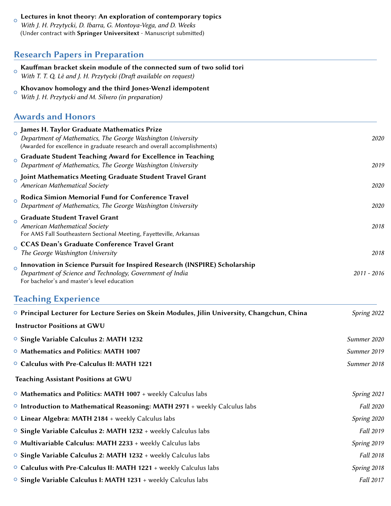| Lectures in knot theory: An exploration of contemporary topics<br>With J. H. Przytycki, D. Ibarra, G. Montoya-Vega, and D. Weeks<br>(Under contract with Springer Universitext - Manuscript submitted) |               |
|--------------------------------------------------------------------------------------------------------------------------------------------------------------------------------------------------------|---------------|
| <b>Research Papers in Preparation</b>                                                                                                                                                                  |               |
| Kauffman bracket skein module of the connected sum of two solid tori<br>With T. T. Q. Lê and J. H. Przytycki (Draft available on request)                                                              |               |
| Khovanov homology and the third Jones-Wenzl idempotent<br>$\circ$<br>With J. H. Przytycki and M. Silvero (in preparation)                                                                              |               |
| <b>Awards and Honors</b>                                                                                                                                                                               |               |
| $_{\circ}$ James H. Taylor Graduate Mathematics Prize<br>Department of Mathematics, The George Washington University<br>(Awarded for excellence in graduate research and overall accomplishments)      | 2020          |
| <b>Graduate Student Teaching Award for Excellence in Teaching</b><br>$\circ$<br>Department of Mathematics, The George Washington University                                                            | 2019          |
| Joint Mathematics Meeting Graduate Student Travel Grant<br>American Mathematical Society                                                                                                               | 2020          |
| Rodica Simion Memorial Fund for Conference Travel<br>$\Omega$<br>Department of Mathematics, The George Washington University                                                                           | 2020          |
| <b>Graduate Student Travel Grant</b><br>$\Omega$<br>American Mathematical Society<br>For AMS Fall Southeastern Sectional Meeting, Fayetteville, Arkansas                                               | 2018          |
| <b>CCAS Dean's Graduate Conference Travel Grant</b><br>$\Omega$<br>The George Washington University                                                                                                    | 2018          |
| Innovation in Science Pursuit for Inspired Research (INSPIRE) Scholarship<br>$\circ$<br>Department of Science and Technology, Government of India<br>For bachelor's and master's level education       | $2011 - 2016$ |
| <b>Teaching Experience</b>                                                                                                                                                                             |               |
| ○ Principal Lecturer for Lecture Series on Skein Modules, Jilin University, Changchun, China                                                                                                           | Spring 2022   |
| <b>Instructor Positions at GWU</b>                                                                                                                                                                     |               |
| <sup>o</sup> Single Variable Calculus 2: MATH 1232                                                                                                                                                     | Summer 2020   |
| <sup>o</sup> Mathematics and Politics: MATH 1007                                                                                                                                                       | Summer 2019   |
| <sup>o</sup> Calculus with Pre-Calculus II: MATH 1221                                                                                                                                                  | Summer 2018   |
| <b>Teaching Assistant Positions at GWU</b>                                                                                                                                                             |               |
| $\circ$ Mathematics and Politics: MATH 1007 + weekly Calculus labs                                                                                                                                     | Spring 2021   |
| $\circ$ Introduction to Mathematical Reasoning: MATH 2971 + weekly Calculus labs                                                                                                                       | Fall 2020     |
| $\circ$ Linear Algebra: MATH 2184 + weekly Calculus labs                                                                                                                                               | Spring 2020   |
| ○ Single Variable Calculus 2: MATH 1232 + weekly Calculus labs                                                                                                                                         | Fall 2019     |
| $\circ$ Multivariable Calculus: MATH 2233 + weekly Calculus labs                                                                                                                                       | Spring 2019   |
| ○ Single Variable Calculus 2: MATH 1232 + weekly Calculus labs                                                                                                                                         | Fall 2018     |
| O Calculus with Pre-Calculus II: MATH 1221 + weekly Calculus labs                                                                                                                                      | Spring 2018   |
| <sup>o</sup> Single Variable Calculus I: MATH 1231 + weekly Calculus labs                                                                                                                              | Fall 2017     |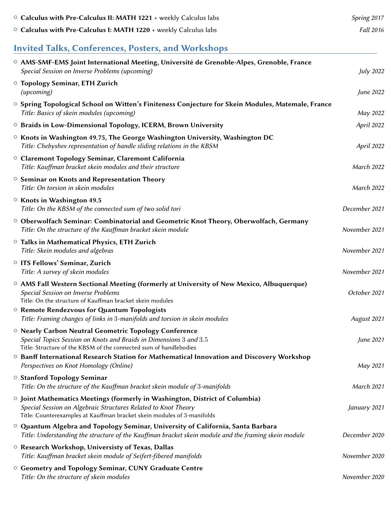| O Calculus with Pre-Calculus II: MATH 1221 + weekly Calculus labs                                                                                                                                                              | Spring 2017       |
|--------------------------------------------------------------------------------------------------------------------------------------------------------------------------------------------------------------------------------|-------------------|
| <sup>o</sup> Calculus with Pre-Calculus I: MATH 1220 + weekly Calculus labs                                                                                                                                                    | Fall 2016         |
| <b>Invited Talks, Conferences, Posters, and Workshops</b>                                                                                                                                                                      |                   |
| ○ AMS-SMF-EMS Joint International Meeting, Université de Grenoble-Alpes, Grenoble, France<br>Special Session on Inverse Problems (upcoming)                                                                                    | <b>July 2022</b>  |
| <sup>o</sup> Topology Seminar, ETH Zurich<br>(upcoming)                                                                                                                                                                        | June 2022         |
| ○ Spring Topological School on Witten's Finiteness Conjecture for Skein Modules, Matemale, France<br>Title: Basics of skein modules (upcoming)                                                                                 | May 2022          |
| <sup>o</sup> Braids in Low-Dimensional Topology, ICERM, Brown University                                                                                                                                                       | April 2022        |
| $\circ$ Knots in Washington 49.75, The George Washington University, Washington DC<br>Title: Chebyshev representation of handle sliding relations in the KBSM                                                                  | April 2022        |
| O Claremont Topology Seminar, Claremont California<br>Title: Kauffman bracket skein modules and their structure                                                                                                                | March 2022        |
| <sup>o</sup> Seminar on Knots and Representation Theory<br>Title: On torsion in skein modules                                                                                                                                  | March 2022        |
| <sup>o</sup> Knots in Washington 49.5<br>Title: On the KBSM of the connected sum of two solid tori                                                                                                                             | December 2021     |
| O Oberwolfach Seminar: Combinatorial and Geometric Knot Theory, Oberwolfach, Germany<br>Title: On the structure of the Kauffman bracket skein module                                                                           | November 2021     |
| <sup>o</sup> Talks in Mathematical Physics, ETH Zurich<br>Title: Skein modules and algebras                                                                                                                                    | November 2021     |
| <sup>o</sup> ITS Fellows' Seminar, Zurich<br>Title: A survey of skein modules                                                                                                                                                  | November 2021     |
| $\circ$ AMS Fall Western Sectional Meeting (formerly at University of New Mexico, Albuquerque)<br>Special Session on Inverse Problems<br>Title: On the structure of Kauffman bracket skein modules                             | October 2021      |
| <sup>o</sup> Remote Rendezvous for Quantum Topologists<br>Title: Framing changes of links in 3-manifolds and torsion in skein modules                                                                                          | August 2021       |
| <sup>o</sup> Nearly Carbon Neutral Geometric Topology Conference<br>Special Topics Session on Knots and Braids in Dimensions 3 and 3.5<br>Title: Structure of the KBSM of the connected sum of handlebodies                    | June 2021         |
| <sup>o</sup> Banff International Research Station for Mathematical Innovation and Discovery Workshop<br>Perspectives on Knot Homology (Online)                                                                                 | May 2021          |
| <b>O Stanford Topology Seminar</b><br>Title: On the structure of the Kauffman bracket skein module of 3-manifolds                                                                                                              | <b>March 2021</b> |
| $\circ$ Joint Mathematics Meetings (formerly in Washington, District of Columbia)<br>Special Session on Algebraic Structures Related to Knot Theory<br>Title: Counterexamples at Kauffman bracket skein modules of 3-manifolds | January 2021      |
| ○ Quantum Algebra and Topology Seminar, University of California, Santa Barbara<br>Title: Understanding the structure of the Kauffman bracket skein module and the framing skein module                                        | December 2020     |
| ○ Research Workshop, Universisty of Texas, Dallas<br>Title: Kauffman bracket skein module of Seifert-fibered manifolds                                                                                                         | November 2020     |
| <sup>o</sup> Geometry and Topology Seminar, CUNY Graduate Centre<br>Title: On the structure of skein modules                                                                                                                   | November 2020     |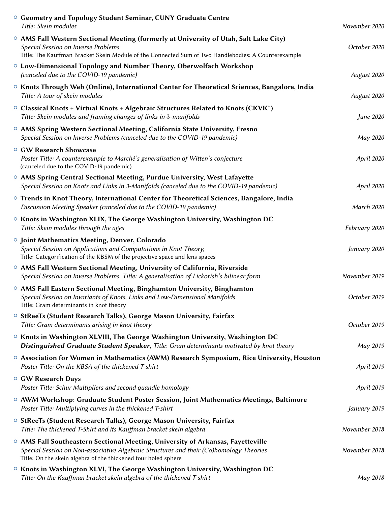| <sup>o</sup> Geometry and Topology Student Seminar, CUNY Graduate Centre<br>Title: Skein modules                                                                                                                                             | November 2020 |
|----------------------------------------------------------------------------------------------------------------------------------------------------------------------------------------------------------------------------------------------|---------------|
| ○ AMS Fall Western Sectional Meeting (formerly at University of Utah, Salt Lake City)<br>Special Session on Inverse Problems<br>Title: The Kauffman Bracket Skein Module of the Connected Sum of Two Handlebodies: A Counterexample          | October 2020  |
| $\circ$ Low-Dimensional Topology and Number Theory, Oberwolfach Workshop<br>(canceled due to the COVID-19 pandemic)                                                                                                                          | August 2020   |
| ○ Knots Through Web (Online), International Center for Theoretical Sciences, Bangalore, India<br>Title: A tour of skein modules                                                                                                              | August 2020   |
| $\circ$ Classical Knots + Virtual Knots + Algebraic Structures Related to Knots (CKVK*)<br>Title: Skein modules and framing changes of links in 3-manifolds                                                                                  | June 2020     |
| ○ AMS Spring Western Sectional Meeting, California State University, Fresno<br>Special Session on Inverse Problems (canceled due to the COVID-19 pandemic)                                                                                   | May 2020      |
| <b>O GW Research Showcase</b><br>Poster Title: A counterexample to Marché's generalisation of Witten's conjecture<br>(canceled due to the COVID-19 pandemic)                                                                                 | April 2020    |
| ○ AMS Spring Central Sectional Meeting, Purdue University, West Lafayette<br>Special Session on Knots and Links in 3-Manifolds (canceled due to the COVID-19 pandemic)                                                                       | April 2020    |
| $\circ$ Trends in Knot Theory, International Center for Theoretical Sciences, Bangalore, India<br>Discussion Meeting Speaker (canceled due to the COVID-19 pandemic)                                                                         | March 2020    |
| <sup>o</sup> Knots in Washington XLIX, The George Washington University, Washington DC<br>Title: Skein modules through the ages                                                                                                              | February 2020 |
| <b>O</b> Joint Mathematics Meeting, Denver, Colorado<br>Special Session on Applications and Computations in Knot Theory,<br>Title: Categorification of the KBSM of the projective space and lens spaces                                      | January 2020  |
| ○ AMS Fall Western Sectional Meeting, University of California, Riverside<br>Special Session on Inverse Problems, Title: A generalisation of Lickorish's bilinear form                                                                       | November 2019 |
| ○ AMS Fall Eastern Sectional Meeting, Binghamton University, Binghamton<br>Special Session on Invariants of Knots, Links and Low-Dimensional Manifolds<br>Title: Gram determinants in knot theory                                            | October 2019  |
| <sup>o</sup> StReeTs (Student Research Talks), George Mason University, Fairfax<br>Title: Gram determinants arising in knot theory                                                                                                           | October 2019  |
| ○ Knots in Washington XLVIII, The George Washington University, Washington DC<br>Distinguished Graduate Student Speaker, Title: Gram determinants motivated by knot theory                                                                   | May 2019      |
| $\circ$ Association for Women in Mathematics (AWM) Research Symposium, Rice University, Houston<br>Poster Title: On the KBSA of the thickened T-shirt                                                                                        | April 2019    |
| <b>O GW Research Days</b><br>Poster Title: Schur Multipliers and second quandle homology                                                                                                                                                     | April 2019    |
| $\circ$ AWM Workshop: Graduate Student Poster Session, Joint Mathematics Meetings, Baltimore<br>Poster Title: Multiplying curves in the thickened T-shirt                                                                                    | January 2019  |
| ○ StReeTs (Student Research Talks), George Mason University, Fairfax<br>Title: The thickened T-Shirt and its Kauffman bracket skein algebra                                                                                                  | November 2018 |
| ○ AMS Fall Southeastern Sectional Meeting, University of Arkansas, Fayetteville<br>Special Session on Non-associative Algebraic Structures and their (Co)homology Theories<br>Title: On the skein algebra of the thickened four holed sphere | November 2018 |
| $\circ$ Knots in Washington XLVI, The George Washington University, Washington DC<br>Title: On the Kauffman bracket skein algebra of the thickened T-shirt                                                                                   | May 2018      |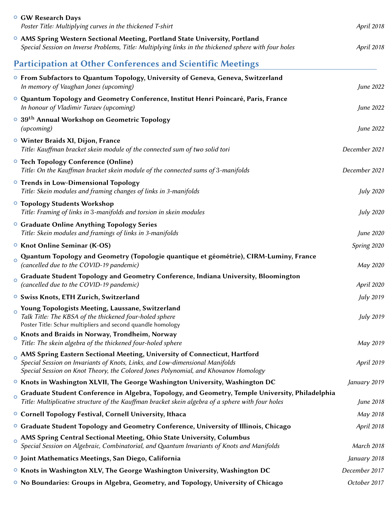|                | <b>O GW Research Days</b><br>Poster Title: Multiplying curves in the thickened T-shirt                                                                                                                                                           | April 2018       |
|----------------|--------------------------------------------------------------------------------------------------------------------------------------------------------------------------------------------------------------------------------------------------|------------------|
|                | ○ AMS Spring Western Sectional Meeting, Portland State University, Portland<br>Special Session on Inverse Problems, Title: Multiplying links in the thickened sphere with four holes                                                             | April 2018       |
|                | <b>Participation at Other Conferences and Scientific Meetings</b>                                                                                                                                                                                |                  |
|                | $\circ$ From Subfactors to Quantum Topology, University of Geneva, Geneva, Switzerland<br>In memory of Vaughan Jones (upcoming)                                                                                                                  | June 2022        |
|                | O Quantum Topology and Geometry Conference, Institut Henri Poincaré, Paris, France<br>In honour of Vladimir Turaev (upcoming)                                                                                                                    | June 2022        |
|                | $\circ$ 39 <sup>th</sup> Annual Workshop on Geometric Topology<br>(upcoming)                                                                                                                                                                     | June 2022        |
|                | O Winter Braids XI, Dijon, France<br>Title: Kauffman bracket skein module of the connected sum of two solid tori                                                                                                                                 | December 2021    |
|                | <b>O</b> Tech Topology Conference (Online)<br>Title: On the Kauffman bracket skein module of the connected sums of 3-manifolds                                                                                                                   | December 2021    |
|                | <b>O Trends in Low-Dimensional Topology</b><br>Title: Skein modules and framing changes of links in 3-manifolds                                                                                                                                  | <b>July 2020</b> |
|                | <sup>o</sup> Topology Students Workshop<br>Title: Framing of links in 3-manifolds and torsion in skein modules                                                                                                                                   | <b>July 2020</b> |
|                | <sup>o</sup> Graduate Online Anything Topology Series<br>Title: Skein modules and framings of links in 3-manifolds                                                                                                                               | June 2020        |
|                | <sup>o</sup> Knot Online Seminar (K-OS)                                                                                                                                                                                                          | Spring 2020      |
| $\overline{O}$ | Quantum Topology and Geometry (Topologie quantique et géométrie), CIRM-Luminy, France<br>(cancelled due to the COVID-19 pandemic)                                                                                                                | May 2020         |
| $\circ$        | Graduate Student Topology and Geometry Conference, Indiana University, Bloomington<br>(cancelled due to the COVID-19 pandemic)                                                                                                                   | April 2020       |
|                | <sup>o</sup> Swiss Knots, ETH Zurich, Switzerland                                                                                                                                                                                                | July 2019        |
|                | Young Topologists Meeting, Laussane, Switzerland<br>Talk Title: The KBSA of the thickened four-holed sphere<br>Poster Title: Schur multipliers and second quandle homology                                                                       | July 2019        |
| $\circ$        | Knots and Braids in Norway, Trondheim, Norway<br>Title: The skein algebra of the thickened four-holed sphere                                                                                                                                     | May 2019         |
|                | AMS Spring Eastern Sectional Meeting, University of Connecticut, Hartford<br>Special Session on Invariants of Knots, Links, and Low-dimensional Manifolds<br>Special Session on Knot Theory, the Colored Jones Polynomial, and Khovanov Homology | April 2019       |
|                | $\circ$ Knots in Washington XLVII, The George Washington University, Washington DC                                                                                                                                                               | January 2019     |
|                | Graduate Student Conference in Algebra, Topology, and Geometry, Temple University, Philadelphia<br>Title: Multiplicative structure of the Kauffman bracket skein algebra of a sphere with four holes                                             | June 2018        |
|                | <sup>o</sup> Cornell Topology Festival, Cornell University, Ithaca                                                                                                                                                                               | May 2018         |
|                | $\circ$ Graduate Student Topology and Geometry Conference, University of Illinois, Chicago                                                                                                                                                       | April 2018       |
|                | AMS Spring Central Sectional Meeting, Ohio State University, Columbus<br>Special Session on Algebraic, Combinatorial, and Quantum Invariants of Knots and Manifolds                                                                              | March 2018       |
|                | <b>O</b> Joint Mathematics Meetings, San Diego, California                                                                                                                                                                                       | January 2018     |
|                | $\circ$ Knots in Washington XLV, The George Washington University, Washington DC                                                                                                                                                                 | December 2017    |
|                | $\circ$ No Boundaries: Groups in Algebra, Geometry, and Topology, University of Chicago                                                                                                                                                          | October 2017     |